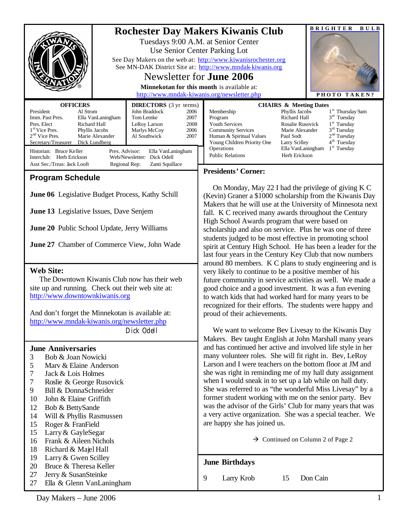|                                                                                                                                                                                                                                                                                                                                                                                                                                                                                                                               |                                 | <b>Rochester Day Makers Kiwanis Club</b>                                                                                                                                                               |                                                                                                                                                                                                                                                                                                                                                                                                                                                                                                                                                                                                                                                                                                                                                                                                                                                                                                                                                                                                                                                                                                                                                                                                                                                                                                                                                                                                                                                                                                                                                                                                                                                                                                                                                                                   |                             |                                                                                                                      | <b>BRIGHTER</b><br>BULB                                                                                                                                                                                                              |  |
|-------------------------------------------------------------------------------------------------------------------------------------------------------------------------------------------------------------------------------------------------------------------------------------------------------------------------------------------------------------------------------------------------------------------------------------------------------------------------------------------------------------------------------|---------------------------------|--------------------------------------------------------------------------------------------------------------------------------------------------------------------------------------------------------|-----------------------------------------------------------------------------------------------------------------------------------------------------------------------------------------------------------------------------------------------------------------------------------------------------------------------------------------------------------------------------------------------------------------------------------------------------------------------------------------------------------------------------------------------------------------------------------------------------------------------------------------------------------------------------------------------------------------------------------------------------------------------------------------------------------------------------------------------------------------------------------------------------------------------------------------------------------------------------------------------------------------------------------------------------------------------------------------------------------------------------------------------------------------------------------------------------------------------------------------------------------------------------------------------------------------------------------------------------------------------------------------------------------------------------------------------------------------------------------------------------------------------------------------------------------------------------------------------------------------------------------------------------------------------------------------------------------------------------------------------------------------------------------|-----------------------------|----------------------------------------------------------------------------------------------------------------------|--------------------------------------------------------------------------------------------------------------------------------------------------------------------------------------------------------------------------------------|--|
|                                                                                                                                                                                                                                                                                                                                                                                                                                                                                                                               |                                 |                                                                                                                                                                                                        | Tuesdays 9:00 A.M. at Senior Center<br>Use Senior Center Parking Lot<br>See Day Makers on the web at: http://www.kiwanisrochester.org                                                                                                                                                                                                                                                                                                                                                                                                                                                                                                                                                                                                                                                                                                                                                                                                                                                                                                                                                                                                                                                                                                                                                                                                                                                                                                                                                                                                                                                                                                                                                                                                                                             |                             |                                                                                                                      |                                                                                                                                                                                                                                      |  |
|                                                                                                                                                                                                                                                                                                                                                                                                                                                                                                                               |                                 |                                                                                                                                                                                                        | See MN-DAK District Site at: http://www.mndak-kiwanis.org<br>Newsletter for <b>June 2006</b>                                                                                                                                                                                                                                                                                                                                                                                                                                                                                                                                                                                                                                                                                                                                                                                                                                                                                                                                                                                                                                                                                                                                                                                                                                                                                                                                                                                                                                                                                                                                                                                                                                                                                      |                             |                                                                                                                      |                                                                                                                                                                                                                                      |  |
|                                                                                                                                                                                                                                                                                                                                                                                                                                                                                                                               |                                 |                                                                                                                                                                                                        | Minnekotan for this month is available at:                                                                                                                                                                                                                                                                                                                                                                                                                                                                                                                                                                                                                                                                                                                                                                                                                                                                                                                                                                                                                                                                                                                                                                                                                                                                                                                                                                                                                                                                                                                                                                                                                                                                                                                                        |                             |                                                                                                                      |                                                                                                                                                                                                                                      |  |
|                                                                                                                                                                                                                                                                                                                                                                                                                                                                                                                               |                                 | http://www.mndak-kiwanis.org/newsletter.php                                                                                                                                                            |                                                                                                                                                                                                                                                                                                                                                                                                                                                                                                                                                                                                                                                                                                                                                                                                                                                                                                                                                                                                                                                                                                                                                                                                                                                                                                                                                                                                                                                                                                                                                                                                                                                                                                                                                                                   |                             |                                                                                                                      | PHOTO TAKEN?                                                                                                                                                                                                                         |  |
| <b>OFFICERS</b><br>President<br>Al Strom<br>Imm. Past Pres.<br>Ella VanLaningham<br>Pres. Elect<br>Richard Hall<br>1 <sup>st</sup> Vice Pres.<br>Phyllis Jacobs<br>$2nd$ Vice Pres.<br>Marie Alexander<br>Secretary/Treasurer Dick Lundberg<br>Historian: Bruce Keller<br>Interclub: Herb Erickson<br>Asst Sec./Treas: Jack Looft                                                                                                                                                                                             | Pres. Advisor:<br>Regional Rep: | <b>DIRECTORS</b> (3 yr terms)<br>John Braddock<br>2006<br>Tom Lemke<br>2007<br>2008<br>LeRoy Larson<br>2006<br>Marlys McCoy<br>Al Southwick<br>2007<br>Ella VanLaningham<br>Web/Newsletter: Dick Odell | Membership<br>Program<br>Youth Services<br><b>Community Services</b><br>Human & Spiritual Values<br>Operations<br><b>Public Relations</b>                                                                                                                                                                                                                                                                                                                                                                                                                                                                                                                                                                                                                                                                                                                                                                                                                                                                                                                                                                                                                                                                                                                                                                                                                                                                                                                                                                                                                                                                                                                                                                                                                                         | Young Children Priority One | Phyllis Jacobs<br>Richard Hall<br>Rosalie Rusovick<br>Marie Alexander<br>Paul Sodt<br>Larry Scilley<br>Herb Erickson | <b>CHAIRS &amp; Meeting Dates</b><br>1 <sup>st</sup> Thursday 9am<br>$3rd$ Tuesday<br>1 <sup>st</sup> Tuesday<br>3 <sup>rd</sup> Tuesday<br>2 <sup>nd</sup> Tuesday<br>4 <sup>th</sup> Tuesday<br>$1st$ Tuesday<br>Ella VanLaningham |  |
|                                                                                                                                                                                                                                                                                                                                                                                                                                                                                                                               |                                 | Zanti Squillace                                                                                                                                                                                        | <b>Presidents' Corner:</b>                                                                                                                                                                                                                                                                                                                                                                                                                                                                                                                                                                                                                                                                                                                                                                                                                                                                                                                                                                                                                                                                                                                                                                                                                                                                                                                                                                                                                                                                                                                                                                                                                                                                                                                                                        |                             |                                                                                                                      |                                                                                                                                                                                                                                      |  |
| <b>Program Schedule</b><br>June 06 Legislative Budget Process, Kathy Schill                                                                                                                                                                                                                                                                                                                                                                                                                                                   |                                 |                                                                                                                                                                                                        | On Monday, May 22 I had the privilege of giving K C<br>(Kevin) Graner a \$1000 scholarship from the Kiwanis Day<br>Makers that he will use at the University of Minnesota next<br>fall. K C received many awards throughout the Century<br>High School Awards program that were based on<br>scholarship and also on service. Plus he was one of three<br>students judged to be most effective in promoting school<br>spirit at Century High School. He has been a leader for the<br>last four years in the Century Key Club that now numbers<br>around 80 members. K C plans to study engineering and is<br>very likely to continue to be a positive member of his<br>future community in service activities as well. We made a<br>good choice and a good investment. It was a fun evening<br>to watch kids that had worked hard for many years to be<br>recognized for their efforts. The students were happy and<br>proud of their achievements.<br>We want to welcome Bev Livesay to the Kiwanis Day<br>Makers. Bev taught English at John Marshall many years<br>and has continued her active and involved life style in her<br>many volunteer roles. She will fit right in. Bev, LeRoy<br>Larson and I were teachers on the bottom floor at JM and<br>she was right in reminding me of my hall duty assignment<br>when I would sneak in to set up a lab while on hall duty.<br>She was referred to as "the wonderful Miss Livesay" by a<br>former student working with me on the senior party. Bev<br>was the advisor of the Girls' Club for many years that was<br>a very active organization. She was a special teacher. We<br>are happy she has joined us.<br>$\rightarrow$ Continued on Column 2 of Page 2<br><b>June Birthdays</b><br>9<br>Larry Krob<br>Don Cain<br>15 |                             |                                                                                                                      |                                                                                                                                                                                                                                      |  |
| June 13 Legislative Issues, Dave Senjem<br>June 20 Public School Update, Jerry Williams                                                                                                                                                                                                                                                                                                                                                                                                                                       |                                 |                                                                                                                                                                                                        |                                                                                                                                                                                                                                                                                                                                                                                                                                                                                                                                                                                                                                                                                                                                                                                                                                                                                                                                                                                                                                                                                                                                                                                                                                                                                                                                                                                                                                                                                                                                                                                                                                                                                                                                                                                   |                             |                                                                                                                      |                                                                                                                                                                                                                                      |  |
| <b>June 27</b> Chamber of Commerce View, John Wade                                                                                                                                                                                                                                                                                                                                                                                                                                                                            |                                 |                                                                                                                                                                                                        |                                                                                                                                                                                                                                                                                                                                                                                                                                                                                                                                                                                                                                                                                                                                                                                                                                                                                                                                                                                                                                                                                                                                                                                                                                                                                                                                                                                                                                                                                                                                                                                                                                                                                                                                                                                   |                             |                                                                                                                      |                                                                                                                                                                                                                                      |  |
| <b>Web Site:</b><br>The Downtown Kiwanis Club now has their web<br>site up and running. Check out their web site at:<br>http://www.downtownkiwanis.org<br>And don't forget the Minnekotan is available at:                                                                                                                                                                                                                                                                                                                    |                                 |                                                                                                                                                                                                        |                                                                                                                                                                                                                                                                                                                                                                                                                                                                                                                                                                                                                                                                                                                                                                                                                                                                                                                                                                                                                                                                                                                                                                                                                                                                                                                                                                                                                                                                                                                                                                                                                                                                                                                                                                                   |                             |                                                                                                                      |                                                                                                                                                                                                                                      |  |
| http://www.mndak-kiwanis.org/newsletter.php<br>Dick Odell                                                                                                                                                                                                                                                                                                                                                                                                                                                                     |                                 |                                                                                                                                                                                                        |                                                                                                                                                                                                                                                                                                                                                                                                                                                                                                                                                                                                                                                                                                                                                                                                                                                                                                                                                                                                                                                                                                                                                                                                                                                                                                                                                                                                                                                                                                                                                                                                                                                                                                                                                                                   |                             |                                                                                                                      |                                                                                                                                                                                                                                      |  |
| <b>June Anniversaries</b><br>Bob & Joan Nowicki<br>3<br>Marv & Elaine Anderson<br>5<br>7<br>Jack & Lois Holmes<br>7<br>Roslie & George Rusovick<br>Bill & DonnaSchneider<br>9<br>John & Elaine Griffith<br>10<br>12<br>Bob & BettySande<br>14<br>Will & Phyllis Rasmussen<br>15<br>Roger & FranField<br>15<br>Larry & GayleSegar<br>Frank & Aileen Nichols<br>16<br>18<br>Richard & Majel Hall<br>19<br>Larry & Gwen Scilley<br>20<br>Bruce & Theresa Keller<br>27<br>Jerry & SusanSteinke<br>Ella & Glenn VanLaningham<br>27 |                                 |                                                                                                                                                                                                        |                                                                                                                                                                                                                                                                                                                                                                                                                                                                                                                                                                                                                                                                                                                                                                                                                                                                                                                                                                                                                                                                                                                                                                                                                                                                                                                                                                                                                                                                                                                                                                                                                                                                                                                                                                                   |                             |                                                                                                                      |                                                                                                                                                                                                                                      |  |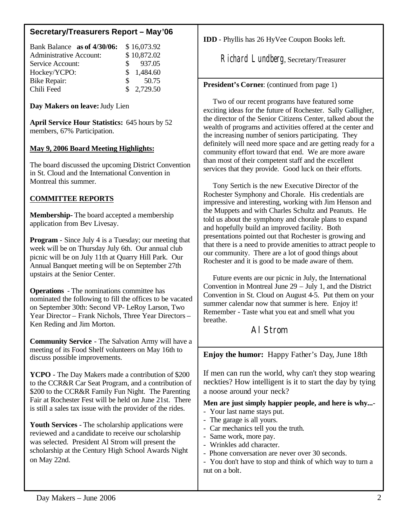## **Secretary/Treasurers Report – May'06**

| Bank Balance as of 4/30/06:    |              | \$16,073.92         |
|--------------------------------|--------------|---------------------|
| <b>Administrative Account:</b> |              | \$10,872.02         |
| Service Account:               |              | $\frac{\$}{937.05}$ |
| Hockey/YCPO:                   |              | \$1,484.60          |
| <b>Bike Repair:</b>            | $\mathbb{S}$ | 50.75               |
| Chili Feed                     |              | \$2,729.50          |

**Day Makers on leave:** Judy Lien

**April Service Hour Statistics:** 645 hours by 52 members, 67% Participation.

## **May 9, 2006 Board Meeting Highlights:**

The board discussed the upcoming District Convention in St. Cloud and the International Convention in Montreal this summer.

## **COMMITTEE REPORTS**

**Membership-** The board accepted a membership application from Bev Livesay.

**Program** - Since July 4 is a Tuesday; our meeting that week will be on Thursday July 6th. Our annual club picnic will be on July 11th at Quarry Hill Park. Our Annual Banquet meeting will be on September 27th upstairs at the Senior Center.

**Operations** - The nominations committee has nominated the following to fill the offices to be vacated on September 30th: Second VP- LeRoy Larson, Two Year Director – Frank Nichols, Three Year Directors – Ken Reding and Jim Morton.

**Community Service** - The Salvation Army will have a meeting of its Food Shelf volunteers on May 16th to discuss possible improvements.

**YCPO** - The Day Makers made a contribution of \$200 to the CCR&R Car Seat Program, and a contribution of \$200 to the CCR&R Family Fun Night. The Parenting Fair at Rochester Fest will be held on June 21st. There is still a sales tax issue with the provider of the rides.

**Youth Services** - The scholarship applications were reviewed and a candidate to receive our scholarship was selected. President Al Strom will present the scholarship at the Century High School Awards Night on May 22nd.

**IDD** - Phyllis has 26 HyVee Coupon Books left.

Richard Lundberg, Secretary/Treasurer

**President's Corner**: (continued from page 1)

 Two of our recent programs have featured some exciting ideas for the future of Rochester. Sally Galligher, the director of the Senior Citizens Center, talked about the wealth of programs and activities offered at the center and the increasing number of seniors participating. They definitely will need more space and are getting ready for a community effort toward that end. We are more aware than most of their competent staff and the excellent services that they provide. Good luck on their efforts.

 Tony Sertich is the new Executive Director of the Rochester Symphony and Chorale. His credentials are impressive and interesting, working with Jim Henson and the Muppets and with Charles Schultz and Peanuts. He told us about the symphony and chorale plans to expand and hopefully build an improved facility. Both presentations pointed out that Rochester is growing and that there is a need to provide amenities to attract people to our community. There are a lot of good things about Rochester and it is good to be made aware of them.

 Future events are our picnic in July, the International Convention in Montreal June 29 – July 1, and the District Convention in St. Cloud on August 4-5. Put them on your summer calendar now that summer is here. Enjoy it! Remember - Taste what you eat and smell what you breathe.

## Al Strom

**Enjoy the humor:** Happy Father's Day, June 18th

If men can run the world, why can't they stop wearing neckties? How intelligent is it to start the day by tying a noose around your neck?

**Men are just simply happier people, and here is why...**-

- Your last name stays put.
- The garage is all yours.
- Car mechanics tell you the truth.
- Same work, more pay.
- Wrinkles add character.
- Phone conversation are never over 30 seconds.

- You don't have to stop and think of which way to turn a nut on a bolt.